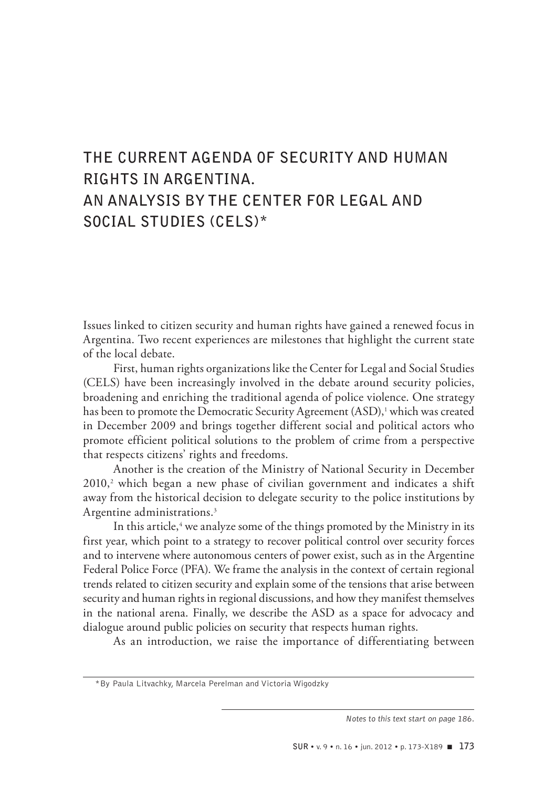# **THE CURRENT AGENDA OF SECURITY AND HUMAN RIGHTS IN ARGENTINA. AN ANALYSIS BY THE CENTER FOR LEGAL AND SOCIAL STUDIES (CELS)\***

Issues linked to citizen security and human rights have gained a renewed focus in Argentina. Two recent experiences are milestones that highlight the current state of the local debate.

First, human rights organizations like the Center for Legal and Social Studies (CELS) have been increasingly involved in the debate around security policies, broadening and enriching the traditional agenda of police violence. One strategy has been to promote the Democratic Security Agreement (ASD),<sup>1</sup> which was created in December 2009 and brings together different social and political actors who promote efficient political solutions to the problem of crime from a perspective that respects citizens' rights and freedoms.

Another is the creation of the Ministry of National Security in December 2010,<sup>2</sup> which began a new phase of civilian government and indicates a shift away from the historical decision to delegate security to the police institutions by Argentine administrations.3

In this article,<sup>4</sup> we analyze some of the things promoted by the Ministry in its first year, which point to a strategy to recover political control over security forces and to intervene where autonomous centers of power exist, such as in the Argentine Federal Police Force (PFA). We frame the analysis in the context of certain regional trends related to citizen security and explain some of the tensions that arise between security and human rights in regional discussions, and how they manifest themselves in the national arena. Finally, we describe the ASD as a space for advocacy and dialogue around public policies on security that respects human rights.

As an introduction, we raise the importance of differentiating between

<sup>\*</sup>By Paula Litvachky, Marcela Perelman and Victoria Wigodzky

*Notes to this text start on page 186.*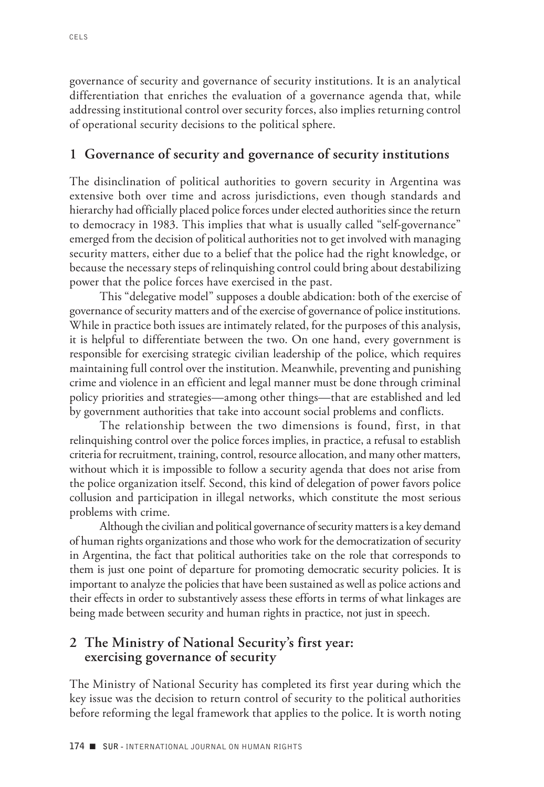governance of security and governance of security institutions. It is an analytical differentiation that enriches the evaluation of a governance agenda that, while addressing institutional control over security forces, also implies returning control of operational security decisions to the political sphere.

#### **1 Governance of security and governance of security institutions**

The disinclination of political authorities to govern security in Argentina was extensive both over time and across jurisdictions, even though standards and hierarchy had officially placed police forces under elected authorities since the return to democracy in 1983. This implies that what is usually called "self-governance" emerged from the decision of political authorities not to get involved with managing security matters, either due to a belief that the police had the right knowledge, or because the necessary steps of relinquishing control could bring about destabilizing power that the police forces have exercised in the past.

This "delegative model" supposes a double abdication: both of the exercise of governance of security matters and of the exercise of governance of police institutions. While in practice both issues are intimately related, for the purposes of this analysis, it is helpful to differentiate between the two. On one hand, every government is responsible for exercising strategic civilian leadership of the police, which requires maintaining full control over the institution. Meanwhile, preventing and punishing crime and violence in an efficient and legal manner must be done through criminal policy priorities and strategies—among other things—that are established and led by government authorities that take into account social problems and conflicts.

The relationship between the two dimensions is found, first, in that relinquishing control over the police forces implies, in practice, a refusal to establish criteria for recruitment, training, control, resource allocation, and many other matters, without which it is impossible to follow a security agenda that does not arise from the police organization itself. Second, this kind of delegation of power favors police collusion and participation in illegal networks, which constitute the most serious problems with crime.

Although the civilian and political governance of security matters is a key demand of human rights organizations and those who work for the democratization of security in Argentina, the fact that political authorities take on the role that corresponds to them is just one point of departure for promoting democratic security policies. It is important to analyze the policies that have been sustained as well as police actions and their effects in order to substantively assess these efforts in terms of what linkages are being made between security and human rights in practice, not just in speech.

#### **2 The Ministry of National Security's first year: exercising governance of security**

The Ministry of National Security has completed its first year during which the key issue was the decision to return control of security to the political authorities before reforming the legal framework that applies to the police. It is worth noting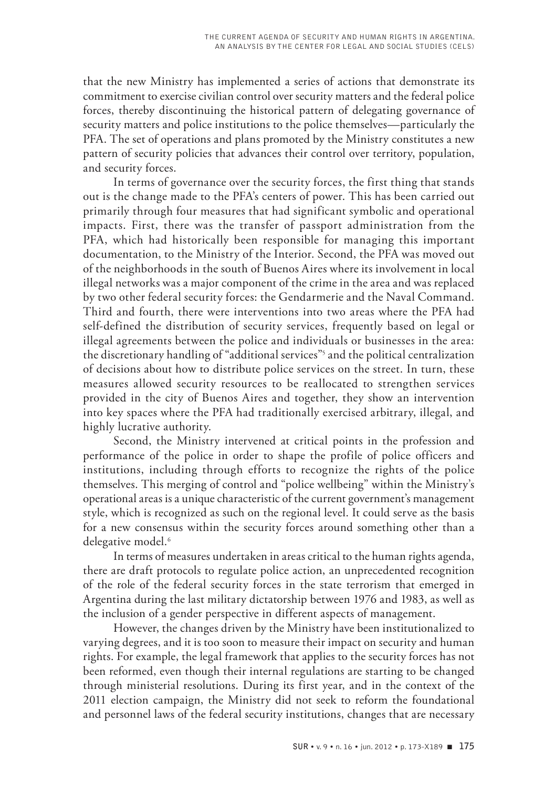that the new Ministry has implemented a series of actions that demonstrate its commitment to exercise civilian control over security matters and the federal police forces, thereby discontinuing the historical pattern of delegating governance of security matters and police institutions to the police themselves—particularly the PFA. The set of operations and plans promoted by the Ministry constitutes a new pattern of security policies that advances their control over territory, population, and security forces.

In terms of governance over the security forces, the first thing that stands out is the change made to the PFA's centers of power. This has been carried out primarily through four measures that had significant symbolic and operational impacts. First, there was the transfer of passport administration from the PFA, which had historically been responsible for managing this important documentation, to the Ministry of the Interior. Second, the PFA was moved out of the neighborhoods in the south of Buenos Aires where its involvement in local illegal networks was a major component of the crime in the area and was replaced by two other federal security forces: the Gendarmerie and the Naval Command. Third and fourth, there were interventions into two areas where the PFA had self-defined the distribution of security services, frequently based on legal or illegal agreements between the police and individuals or businesses in the area: the discretionary handling of "additional services"5 and the political centralization of decisions about how to distribute police services on the street. In turn, these measures allowed security resources to be reallocated to strengthen services provided in the city of Buenos Aires and together, they show an intervention into key spaces where the PFA had traditionally exercised arbitrary, illegal, and highly lucrative authority.

Second, the Ministry intervened at critical points in the profession and performance of the police in order to shape the profile of police officers and institutions, including through efforts to recognize the rights of the police themselves. This merging of control and "police wellbeing" within the Ministry's operational areas is a unique characteristic of the current government's management style, which is recognized as such on the regional level. It could serve as the basis for a new consensus within the security forces around something other than a delegative model.<sup>6</sup>

In terms of measures undertaken in areas critical to the human rights agenda, there are draft protocols to regulate police action, an unprecedented recognition of the role of the federal security forces in the state terrorism that emerged in Argentina during the last military dictatorship between 1976 and 1983, as well as the inclusion of a gender perspective in different aspects of management.

However, the changes driven by the Ministry have been institutionalized to varying degrees, and it is too soon to measure their impact on security and human rights. For example, the legal framework that applies to the security forces has not been reformed, even though their internal regulations are starting to be changed through ministerial resolutions. During its first year, and in the context of the 2011 election campaign, the Ministry did not seek to reform the foundational and personnel laws of the federal security institutions, changes that are necessary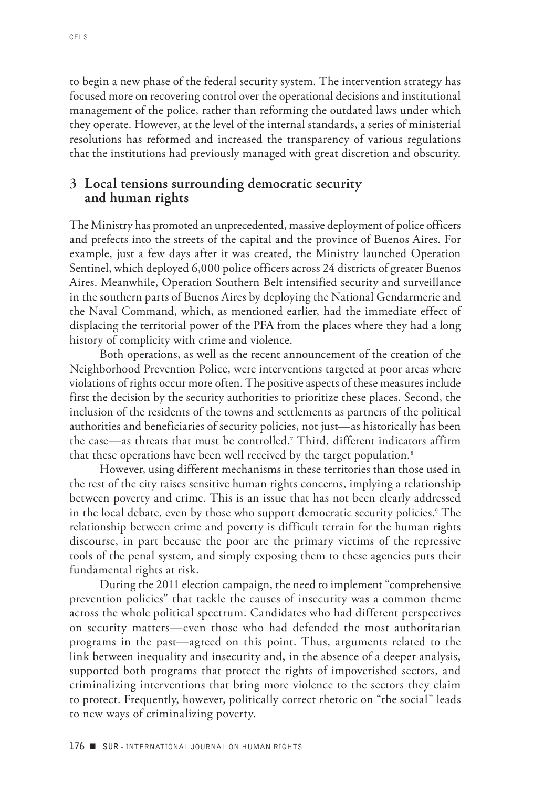to begin a new phase of the federal security system. The intervention strategy has focused more on recovering control over the operational decisions and institutional management of the police, rather than reforming the outdated laws under which they operate. However, at the level of the internal standards, a series of ministerial resolutions has reformed and increased the transparency of various regulations that the institutions had previously managed with great discretion and obscurity.

#### **3 Local tensions surrounding democratic security and human rights**

The Ministry has promoted an unprecedented, massive deployment of police officers and prefects into the streets of the capital and the province of Buenos Aires. For example, just a few days after it was created, the Ministry launched Operation Sentinel, which deployed 6,000 police officers across 24 districts of greater Buenos Aires. Meanwhile, Operation Southern Belt intensified security and surveillance in the southern parts of Buenos Aires by deploying the National Gendarmerie and the Naval Command, which, as mentioned earlier, had the immediate effect of displacing the territorial power of the PFA from the places where they had a long history of complicity with crime and violence.

Both operations, as well as the recent announcement of the creation of the Neighborhood Prevention Police, were interventions targeted at poor areas where violations of rights occur more often. The positive aspects of these measures include first the decision by the security authorities to prioritize these places. Second, the inclusion of the residents of the towns and settlements as partners of the political authorities and beneficiaries of security policies, not just—as historically has been the case—as threats that must be controlled.7 Third, different indicators affirm that these operations have been well received by the target population.<sup>8</sup>

However, using different mechanisms in these territories than those used in the rest of the city raises sensitive human rights concerns, implying a relationship between poverty and crime. This is an issue that has not been clearly addressed in the local debate, even by those who support democratic security policies.<sup>9</sup> The relationship between crime and poverty is difficult terrain for the human rights discourse, in part because the poor are the primary victims of the repressive tools of the penal system, and simply exposing them to these agencies puts their fundamental rights at risk.

During the 2011 election campaign, the need to implement "comprehensive prevention policies" that tackle the causes of insecurity was a common theme across the whole political spectrum. Candidates who had different perspectives on security matters—even those who had defended the most authoritarian programs in the past—agreed on this point. Thus, arguments related to the link between inequality and insecurity and, in the absence of a deeper analysis, supported both programs that protect the rights of impoverished sectors, and criminalizing interventions that bring more violence to the sectors they claim to protect. Frequently, however, politically correct rhetoric on "the social" leads to new ways of criminalizing poverty.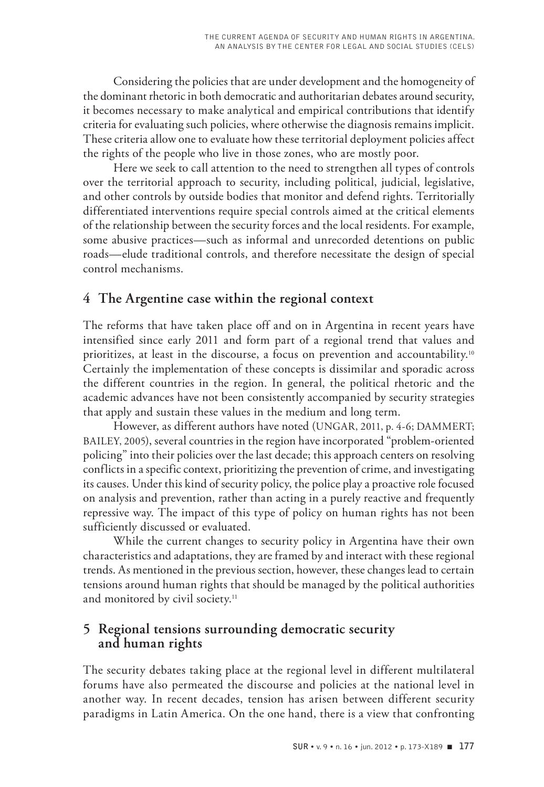Considering the policies that are under development and the homogeneity of the dominant rhetoric in both democratic and authoritarian debates around security, it becomes necessary to make analytical and empirical contributions that identify criteria for evaluating such policies, where otherwise the diagnosis remains implicit. These criteria allow one to evaluate how these territorial deployment policies affect the rights of the people who live in those zones, who are mostly poor.

Here we seek to call attention to the need to strengthen all types of controls over the territorial approach to security, including political, judicial, legislative, and other controls by outside bodies that monitor and defend rights. Territorially differentiated interventions require special controls aimed at the critical elements of the relationship between the security forces and the local residents. For example, some abusive practices—such as informal and unrecorded detentions on public roads—elude traditional controls, and therefore necessitate the design of special control mechanisms.

### **4 The Argentine case within the regional context**

The reforms that have taken place off and on in Argentina in recent years have intensified since early 2011 and form part of a regional trend that values and prioritizes, at least in the discourse, a focus on prevention and accountability.10 Certainly the implementation of these concepts is dissimilar and sporadic across the different countries in the region. In general, the political rhetoric and the academic advances have not been consistently accompanied by security strategies that apply and sustain these values in the medium and long term.

However, as different authors have noted (UNGAR, 2011, p. 4-6; DAMMERT; BAILEY, 2005), several countries in the region have incorporated "problem-oriented policing" into their policies over the last decade; this approach centers on resolving conflicts in a specific context, prioritizing the prevention of crime, and investigating its causes. Under this kind of security policy, the police play a proactive role focused on analysis and prevention, rather than acting in a purely reactive and frequently repressive way. The impact of this type of policy on human rights has not been sufficiently discussed or evaluated.

While the current changes to security policy in Argentina have their own characteristics and adaptations, they are framed by and interact with these regional trends. As mentioned in the previous section, however, these changes lead to certain tensions around human rights that should be managed by the political authorities and monitored by civil society.<sup>11</sup>

# **5 Regional tensions surrounding democratic security and human rights**

The security debates taking place at the regional level in different multilateral forums have also permeated the discourse and policies at the national level in another way. In recent decades, tension has arisen between different security paradigms in Latin America. On the one hand, there is a view that confronting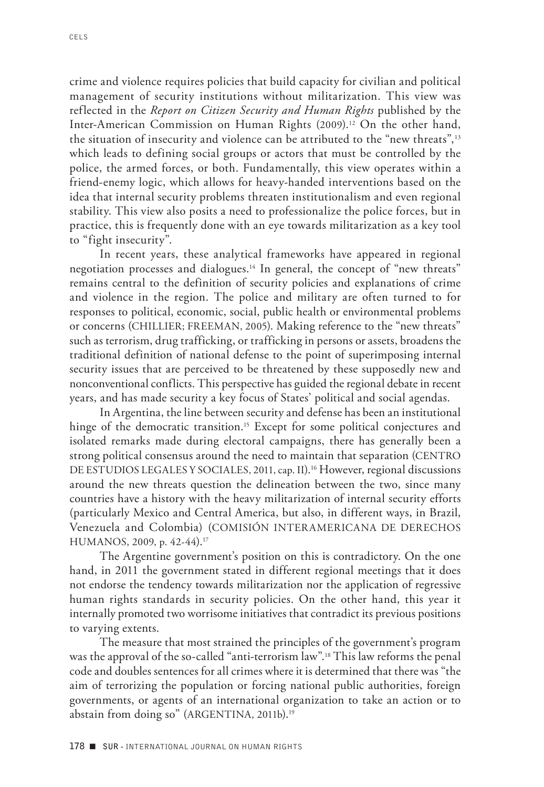crime and violence requires policies that build capacity for civilian and political management of security institutions without militarization. This view was reflected in the *Report on Citizen Security and Human Rights* published by the Inter-American Commission on Human Rights (2009).<sup>12</sup> On the other hand, the situation of insecurity and violence can be attributed to the "new threats",<sup>13</sup> which leads to defining social groups or actors that must be controlled by the police, the armed forces, or both. Fundamentally, this view operates within a friend-enemy logic, which allows for heavy-handed interventions based on the idea that internal security problems threaten institutionalism and even regional stability. This view also posits a need to professionalize the police forces, but in practice, this is frequently done with an eye towards militarization as a key tool to "fight insecurity".

In recent years, these analytical frameworks have appeared in regional negotiation processes and dialogues.14 In general, the concept of "new threats" remains central to the definition of security policies and explanations of crime and violence in the region. The police and military are often turned to for responses to political, economic, social, public health or environmental problems or concerns (CHILLIER; FREEMAN, 2005). Making reference to the "new threats" such as terrorism, drug trafficking, or trafficking in persons or assets, broadens the traditional definition of national defense to the point of superimposing internal security issues that are perceived to be threatened by these supposedly new and nonconventional conflicts. This perspective has guided the regional debate in recent years, and has made security a key focus of States' political and social agendas.

In Argentina, the line between security and defense has been an institutional hinge of the democratic transition.<sup>15</sup> Except for some political conjectures and isolated remarks made during electoral campaigns, there has generally been a strong political consensus around the need to maintain that separation (CENTRO DE ESTUDIOS LEGALES Y SOCIALES, 2011, cap. II).<sup>16</sup> However, regional discussions around the new threats question the delineation between the two, since many countries have a history with the heavy militarization of internal security efforts (particularly Mexico and Central America, but also, in different ways, in Brazil, Venezuela and Colombia) (COMISIÓN INTERAMERICANA DE DERECHOS HUMANOS, 2009, p. 42-44).17

The Argentine government's position on this is contradictory. On the one hand, in 2011 the government stated in different regional meetings that it does not endorse the tendency towards militarization nor the application of regressive human rights standards in security policies. On the other hand, this year it internally promoted two worrisome initiatives that contradict its previous positions to varying extents.

The measure that most strained the principles of the government's program was the approval of the so-called "anti-terrorism law".18 This law reforms the penal code and doubles sentences for all crimes where it is determined that there was "the aim of terrorizing the population or forcing national public authorities, foreign governments, or agents of an international organization to take an action or to abstain from doing so" (ARGENTINA, 2011b).<sup>19</sup>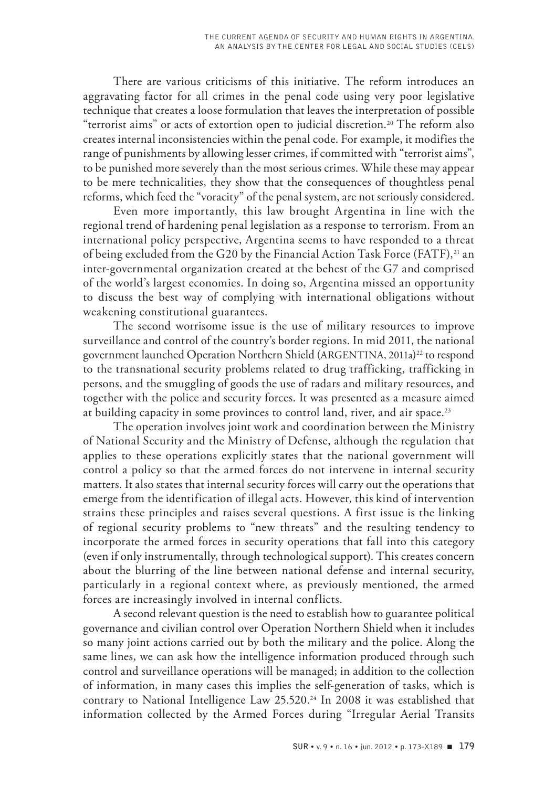There are various criticisms of this initiative. The reform introduces an aggravating factor for all crimes in the penal code using very poor legislative technique that creates a loose formulation that leaves the interpretation of possible "terrorist aims" or acts of extortion open to judicial discretion.<sup>20</sup> The reform also creates internal inconsistencies within the penal code. For example, it modifies the range of punishments by allowing lesser crimes, if committed with "terrorist aims", to be punished more severely than the most serious crimes. While these may appear to be mere technicalities, they show that the consequences of thoughtless penal reforms, which feed the "voracity" of the penal system, are not seriously considered.

Even more importantly, this law brought Argentina in line with the regional trend of hardening penal legislation as a response to terrorism. From an international policy perspective, Argentina seems to have responded to a threat of being excluded from the G20 by the Financial Action Task Force (FATF),<sup>21</sup> an inter-governmental organization created at the behest of the G7 and comprised of the world's largest economies. In doing so, Argentina missed an opportunity to discuss the best way of complying with international obligations without weakening constitutional guarantees.

The second worrisome issue is the use of military resources to improve surveillance and control of the country's border regions. In mid 2011, the national government launched Operation Northern Shield (ARGENTINA, 2011a)<sup>22</sup> to respond to the transnational security problems related to drug trafficking, trafficking in persons, and the smuggling of goods the use of radars and military resources, and together with the police and security forces. It was presented as a measure aimed at building capacity in some provinces to control land, river, and air space.<sup>23</sup>

The operation involves joint work and coordination between the Ministry of National Security and the Ministry of Defense, although the regulation that applies to these operations explicitly states that the national government will control a policy so that the armed forces do not intervene in internal security matters. It also states that internal security forces will carry out the operations that emerge from the identification of illegal acts. However, this kind of intervention strains these principles and raises several questions. A first issue is the linking of regional security problems to "new threats" and the resulting tendency to incorporate the armed forces in security operations that fall into this category (even if only instrumentally, through technological support). This creates concern about the blurring of the line between national defense and internal security, particularly in a regional context where, as previously mentioned, the armed forces are increasingly involved in internal conflicts.

A second relevant question is the need to establish how to guarantee political governance and civilian control over Operation Northern Shield when it includes so many joint actions carried out by both the military and the police. Along the same lines, we can ask how the intelligence information produced through such control and surveillance operations will be managed; in addition to the collection of information, in many cases this implies the self-generation of tasks, which is contrary to National Intelligence Law  $25.520$ .<sup>24</sup> In 2008 it was established that information collected by the Armed Forces during "Irregular Aerial Transits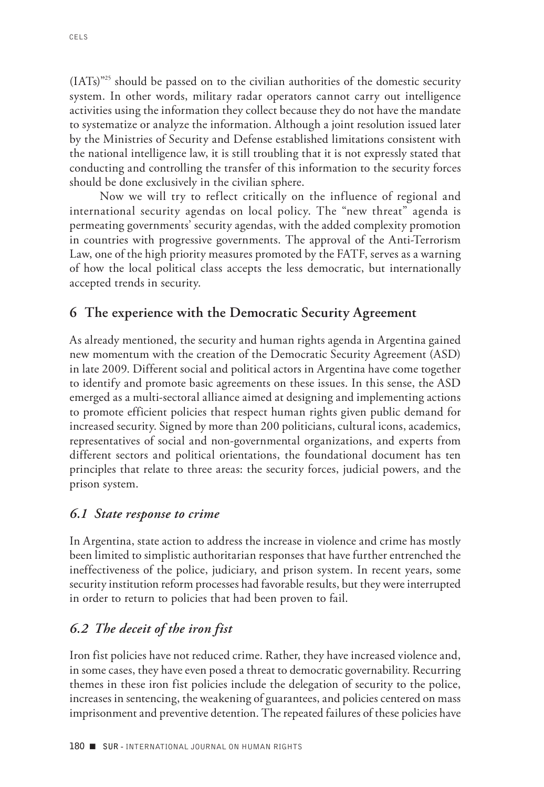$(IATs)^{325}$  should be passed on to the civilian authorities of the domestic security system. In other words, military radar operators cannot carry out intelligence activities using the information they collect because they do not have the mandate to systematize or analyze the information. Although a joint resolution issued later by the Ministries of Security and Defense established limitations consistent with the national intelligence law, it is still troubling that it is not expressly stated that conducting and controlling the transfer of this information to the security forces should be done exclusively in the civilian sphere.

Now we will try to reflect critically on the influence of regional and international security agendas on local policy. The "new threat" agenda is permeating governments' security agendas, with the added complexity promotion in countries with progressive governments. The approval of the Anti-Terrorism Law, one of the high priority measures promoted by the FATF, serves as a warning of how the local political class accepts the less democratic, but internationally accepted trends in security.

#### **6 The experience with the Democratic Security Agreement**

As already mentioned, the security and human rights agenda in Argentina gained new momentum with the creation of the Democratic Security Agreement (ASD) in late 2009. Different social and political actors in Argentina have come together to identify and promote basic agreements on these issues. In this sense, the ASD emerged as a multi-sectoral alliance aimed at designing and implementing actions to promote efficient policies that respect human rights given public demand for increased security. Signed by more than 200 politicians, cultural icons, academics, representatives of social and non-governmental organizations, and experts from different sectors and political orientations, the foundational document has ten principles that relate to three areas: the security forces, judicial powers, and the prison system.

#### *6.1 State response to crime*

In Argentina, state action to address the increase in violence and crime has mostly been limited to simplistic authoritarian responses that have further entrenched the ineffectiveness of the police, judiciary, and prison system. In recent years, some security institution reform processes had favorable results, but they were interrupted in order to return to policies that had been proven to fail.

### *6.2 The deceit of the iron fist*

Iron fist policies have not reduced crime. Rather, they have increased violence and, in some cases, they have even posed a threat to democratic governability. Recurring themes in these iron fist policies include the delegation of security to the police, increases in sentencing, the weakening of guarantees, and policies centered on mass imprisonment and preventive detention. The repeated failures of these policies have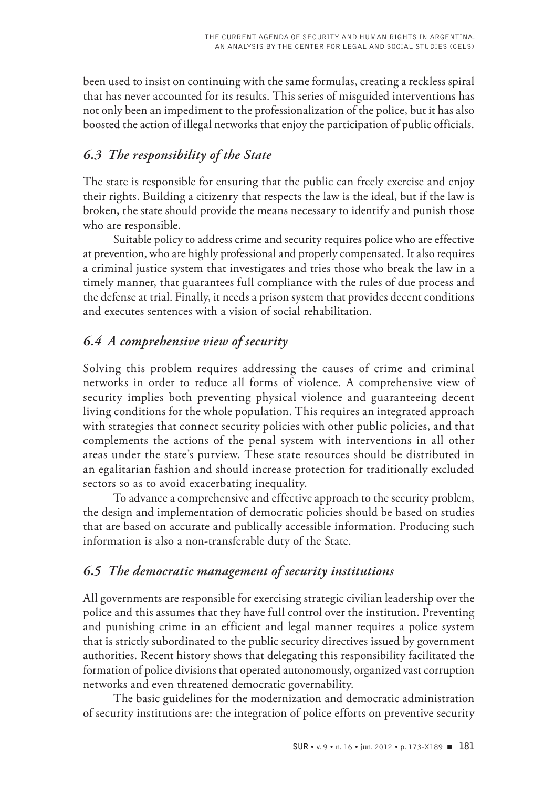been used to insist on continuing with the same formulas, creating a reckless spiral that has never accounted for its results. This series of misguided interventions has not only been an impediment to the professionalization of the police, but it has also boosted the action of illegal networks that enjoy the participation of public officials.

# *6.3 The responsibility of the State*

The state is responsible for ensuring that the public can freely exercise and enjoy their rights. Building a citizenry that respects the law is the ideal, but if the law is broken, the state should provide the means necessary to identify and punish those who are responsible.

Suitable policy to address crime and security requires police who are effective at prevention, who are highly professional and properly compensated. It also requires a criminal justice system that investigates and tries those who break the law in a timely manner, that guarantees full compliance with the rules of due process and the defense at trial. Finally, it needs a prison system that provides decent conditions and executes sentences with a vision of social rehabilitation.

# *6.4 A comprehensive view of security*

Solving this problem requires addressing the causes of crime and criminal networks in order to reduce all forms of violence. A comprehensive view of security implies both preventing physical violence and guaranteeing decent living conditions for the whole population. This requires an integrated approach with strategies that connect security policies with other public policies, and that complements the actions of the penal system with interventions in all other areas under the state's purview. These state resources should be distributed in an egalitarian fashion and should increase protection for traditionally excluded sectors so as to avoid exacerbating inequality.

To advance a comprehensive and effective approach to the security problem, the design and implementation of democratic policies should be based on studies that are based on accurate and publically accessible information. Producing such information is also a non-transferable duty of the State.

# *6.5 The democratic management of security institutions*

All governments are responsible for exercising strategic civilian leadership over the police and this assumes that they have full control over the institution. Preventing and punishing crime in an efficient and legal manner requires a police system that is strictly subordinated to the public security directives issued by government authorities. Recent history shows that delegating this responsibility facilitated the formation of police divisions that operated autonomously, organized vast corruption networks and even threatened democratic governability.

The basic guidelines for the modernization and democratic administration of security institutions are: the integration of police efforts on preventive security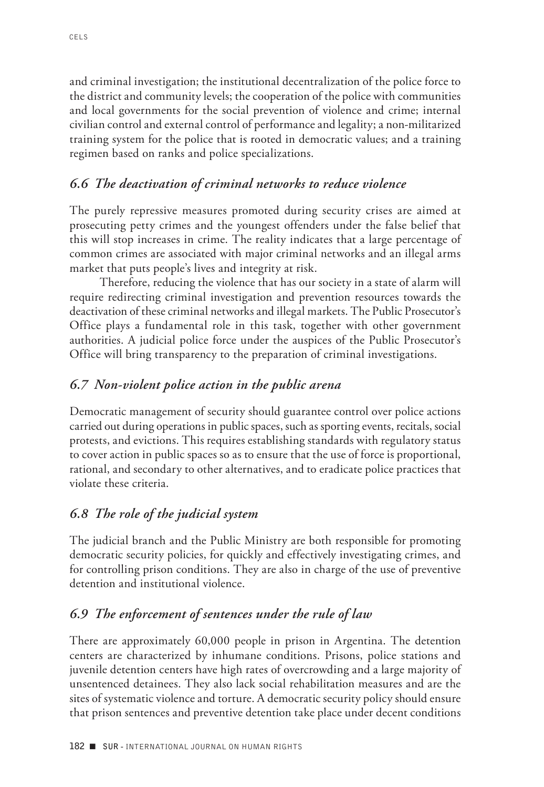and criminal investigation; the institutional decentralization of the police force to the district and community levels; the cooperation of the police with communities and local governments for the social prevention of violence and crime; internal civilian control and external control of performance and legality; a non-militarized training system for the police that is rooted in democratic values; and a training regimen based on ranks and police specializations.

### *6.6 The deactivation of criminal networks to reduce violence*

The purely repressive measures promoted during security crises are aimed at prosecuting petty crimes and the youngest offenders under the false belief that this will stop increases in crime. The reality indicates that a large percentage of common crimes are associated with major criminal networks and an illegal arms market that puts people's lives and integrity at risk.

Therefore, reducing the violence that has our society in a state of alarm will require redirecting criminal investigation and prevention resources towards the deactivation of these criminal networks and illegal markets. The Public Prosecutor's Office plays a fundamental role in this task, together with other government authorities. A judicial police force under the auspices of the Public Prosecutor's Office will bring transparency to the preparation of criminal investigations.

# *6.7 Non-violent police action in the public arena*

Democratic management of security should guarantee control over police actions carried out during operations in public spaces, such as sporting events, recitals, social protests, and evictions. This requires establishing standards with regulatory status to cover action in public spaces so as to ensure that the use of force is proportional, rational, and secondary to other alternatives, and to eradicate police practices that violate these criteria.

# *6.8 The role of the judicial system*

The judicial branch and the Public Ministry are both responsible for promoting democratic security policies, for quickly and effectively investigating crimes, and for controlling prison conditions. They are also in charge of the use of preventive detention and institutional violence.

# *6.9 The enforcement of sentences under the rule of law*

There are approximately 60,000 people in prison in Argentina. The detention centers are characterized by inhumane conditions. Prisons, police stations and juvenile detention centers have high rates of overcrowding and a large majority of unsentenced detainees. They also lack social rehabilitation measures and are the sites of systematic violence and torture. A democratic security policy should ensure that prison sentences and preventive detention take place under decent conditions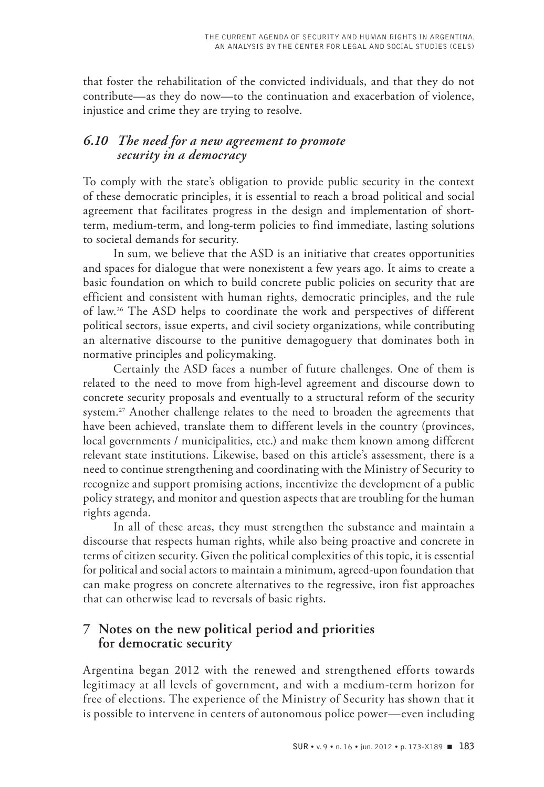that foster the rehabilitation of the convicted individuals, and that they do not contribute—as they do now—to the continuation and exacerbation of violence, injustice and crime they are trying to resolve.

#### *6.10 The need for a new agreement to promote security in a democracy*

To comply with the state's obligation to provide public security in the context of these democratic principles, it is essential to reach a broad political and social agreement that facilitates progress in the design and implementation of shortterm, medium-term, and long-term policies to find immediate, lasting solutions to societal demands for security.

In sum, we believe that the ASD is an initiative that creates opportunities and spaces for dialogue that were nonexistent a few years ago. It aims to create a basic foundation on which to build concrete public policies on security that are efficient and consistent with human rights, democratic principles, and the rule of law.26 The ASD helps to coordinate the work and perspectives of different political sectors, issue experts, and civil society organizations, while contributing an alternative discourse to the punitive demagoguery that dominates both in normative principles and policymaking.

Certainly the ASD faces a number of future challenges. One of them is related to the need to move from high-level agreement and discourse down to concrete security proposals and eventually to a structural reform of the security system.<sup>27</sup> Another challenge relates to the need to broaden the agreements that have been achieved, translate them to different levels in the country (provinces, local governments / municipalities, etc.) and make them known among different relevant state institutions. Likewise, based on this article's assessment, there is a need to continue strengthening and coordinating with the Ministry of Security to recognize and support promising actions, incentivize the development of a public policy strategy, and monitor and question aspects that are troubling for the human rights agenda.

In all of these areas, they must strengthen the substance and maintain a discourse that respects human rights, while also being proactive and concrete in terms of citizen security. Given the political complexities of this topic, it is essential for political and social actors to maintain a minimum, agreed-upon foundation that can make progress on concrete alternatives to the regressive, iron fist approaches that can otherwise lead to reversals of basic rights.

# **7 Notes on the new political period and priorities for democratic security**

Argentina began 2012 with the renewed and strengthened efforts towards legitimacy at all levels of government, and with a medium-term horizon for free of elections. The experience of the Ministry of Security has shown that it is possible to intervene in centers of autonomous police power—even including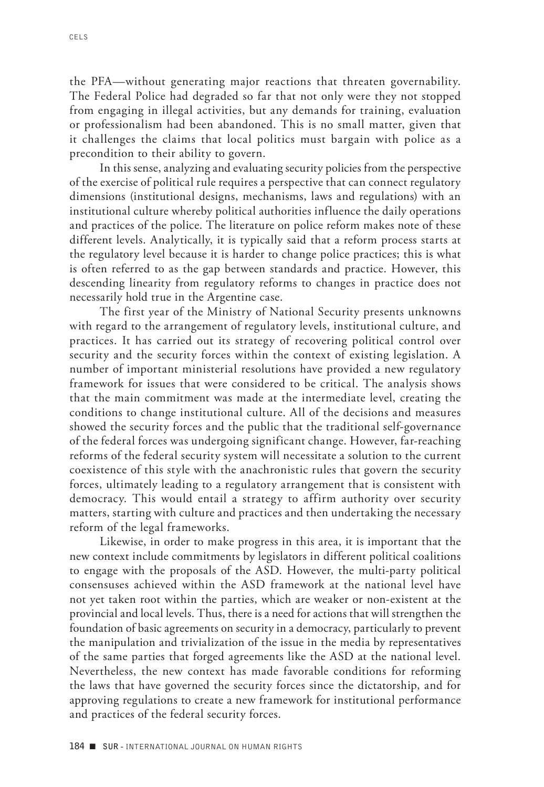the PFA—without generating major reactions that threaten governability. The Federal Police had degraded so far that not only were they not stopped from engaging in illegal activities, but any demands for training, evaluation or professionalism had been abandoned. This is no small matter, given that it challenges the claims that local politics must bargain with police as a precondition to their ability to govern.

In this sense, analyzing and evaluating security policies from the perspective of the exercise of political rule requires a perspective that can connect regulatory dimensions (institutional designs, mechanisms, laws and regulations) with an institutional culture whereby political authorities influence the daily operations and practices of the police. The literature on police reform makes note of these different levels. Analytically, it is typically said that a reform process starts at the regulatory level because it is harder to change police practices; this is what is often referred to as the gap between standards and practice. However, this descending linearity from regulatory reforms to changes in practice does not necessarily hold true in the Argentine case.

The first year of the Ministry of National Security presents unknowns with regard to the arrangement of regulatory levels, institutional culture, and practices. It has carried out its strategy of recovering political control over security and the security forces within the context of existing legislation. A number of important ministerial resolutions have provided a new regulatory framework for issues that were considered to be critical. The analysis shows that the main commitment was made at the intermediate level, creating the conditions to change institutional culture. All of the decisions and measures showed the security forces and the public that the traditional self-governance of the federal forces was undergoing significant change. However, far-reaching reforms of the federal security system will necessitate a solution to the current coexistence of this style with the anachronistic rules that govern the security forces, ultimately leading to a regulatory arrangement that is consistent with democracy. This would entail a strategy to affirm authority over security matters, starting with culture and practices and then undertaking the necessary reform of the legal frameworks.

Likewise, in order to make progress in this area, it is important that the new context include commitments by legislators in different political coalitions to engage with the proposals of the ASD. However, the multi-party political consensuses achieved within the ASD framework at the national level have not yet taken root within the parties, which are weaker or non-existent at the provincial and local levels. Thus, there is a need for actions that will strengthen the foundation of basic agreements on security in a democracy, particularly to prevent the manipulation and trivialization of the issue in the media by representatives of the same parties that forged agreements like the ASD at the national level. Nevertheless, the new context has made favorable conditions for reforming the laws that have governed the security forces since the dictatorship, and for approving regulations to create a new framework for institutional performance and practices of the federal security forces.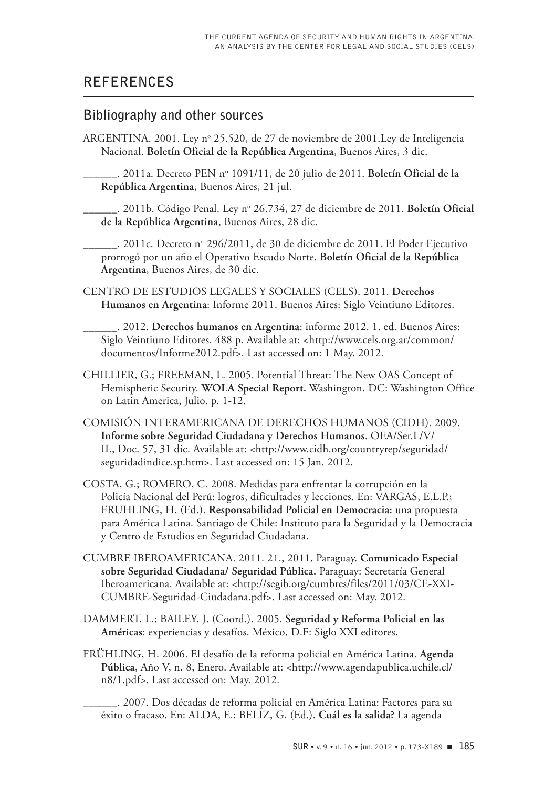# **REFERENCES**

#### **Bibliography and other sources**

ARGENTINA. 2001. Ley nº 25.520, de 27 de noviembre de 2001.Ley de Inteligencia Nacional. **Boletín Oficial de la República Argentina**, Buenos Aires, 3 dic.

\_\_\_\_\_\_. 2011a. Decreto PEN no 1091/11, de 20 julio de 2011. **Boletín Oficial de la República Argentina**, Buenos Aires, 21 jul.

\_\_\_\_\_\_. 2011b. Código Penal. Ley no 26.734, 27 de diciembre de 2011. **Boletín Oficial de la República Argentina**, Buenos Aires, 28 dic.

\_\_\_\_\_\_. 2011c. Decreto no 296/2011, de 30 de diciembre de 2011. El Poder Ejecutivo prorrogó por un año el Operativo Escudo Norte. **Boletín Oficial de la República Argentina**, Buenos Aires, de 30 dic.

CENTRO DE ESTUDIOS LEGALES Y SOCIALES (CELS). 2011. **Derechos Humanos en Argentina**: Informe 2011. Buenos Aires: Siglo Veintiuno Editores.

\_\_\_\_\_\_. 2012. **Derechos humanos en Argentina**: informe 2012. 1. ed. Buenos Aires: Siglo Veintiuno Editores. 488 p. Available at: <http://www.cels.org.ar/common/ documentos/Informe2012.pdf>. Last accessed on: 1 May. 2012.

- CHILLIER, G.; FREEMAN, L. 2005. Potential Threat: The New OAS Concept of Hemispheric Security. **WOLA Special Report.** Washington, DC: Washington Office on Latin America, Julio. p. 1-12.
- COMISIÓN INTERAMERICANA DE DERECHOS HUMANOS (CIDH). 2009. **Informe sobre Seguridad Ciudadana y Derechos Humanos**. OEA/Ser.L/V/ II., Doc. 57, 31 dic. Available at: <http://www.cidh.org/countryrep/seguridad/ seguridadindice.sp.htm>. Last accessed on: 15 Jan. 2012.
- COSTA, G.; ROMERO, C. 2008. Medidas para enfrentar la corrupción en la Policía Nacional del Perú: logros, dificultades y lecciones. En: VARGAS, E.L.P.; FRUHLING, H. (Ed.). **Responsabilidad Policial en Democracia:** una propuesta para América Latina. Santiago de Chile: Instituto para la Seguridad y la Democracia y Centro de Estudios en Seguridad Ciudadana.
- CUMBRE IBEROAMERICANA. 2011. 21., 2011, Paraguay. **Comunicado Especial sobre Seguridad Ciudadana/ Seguridad Pública.** Paraguay: Secretaría General Iberoamericana. Available at: <http://segib.org/cumbres/files/2011/03/CE-XXI-CUMBRE-Seguridad-Ciudadana.pdf>. Last accessed on: May. 2012.
- DAMMERT, L.; BAILEY, J. (Coord.). 2005. **Seguridad y Reforma Policial en las Américas**: experiencias y desafíos. México, D.F: Siglo XXI editores.
- FRÜHLING, H. 2006. El desafío de la reforma policial en América Latina. **Agenda Pública**, Año V, n. 8, Enero. Available at: <http://www.agendapublica.uchile.cl/ n8/1.pdf>. Last accessed on: May. 2012.

\_\_\_\_\_\_. 2007. Dos décadas de reforma policial en América Latina: Factores para su éxito o fracaso. En: ALDA, E.; BELIZ, G. (Ed.). **Cuál es la salida?** La agenda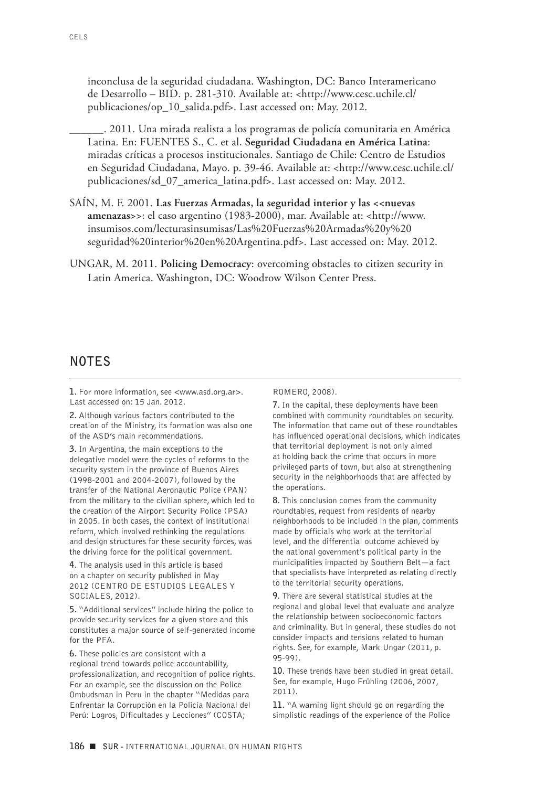inconclusa de la seguridad ciudadana. Washington, DC: Banco Interamericano de Desarrollo – BID. p. 281-310. Available at: <http://www.cesc.uchile.cl/ publicaciones/op\_10\_salida.pdf>. Last accessed on: May. 2012.

\_\_\_\_\_\_. 2011. Una mirada realista a los programas de policía comunitaria en América Latina. En: FUENTES S., C. et al. **Seguridad Ciudadana en América Latina**: miradas críticas a procesos institucionales. Santiago de Chile: Centro de Estudios en Seguridad Ciudadana, Mayo. p. 39-46. Available at: <http://www.cesc.uchile.cl/ publicaciones/sd\_07\_america\_latina.pdf>. Last accessed on: May. 2012.

- SAÍN, M. F. 2001. **Las Fuerzas Armadas, la seguridad interior y las <<nuevas amenazas>>**: el caso argentino (1983-2000), mar. Available at: <http://www. insumisos.com/lecturasinsumisas/Las%20Fuerzas%20Armadas%20y%20 seguridad%20interior%20en%20Argentina.pdf>. Last accessed on: May. 2012.
- UNGAR, M. 2011. **Policing Democracy**: overcoming obstacles to citizen security in Latin America. Washington, DC: Woodrow Wilson Center Press.

#### **NOTES**

**1.** For more information, see <www.asd.org.ar>. Last accessed on: 15 Jan. 2012.

**2.** Although various factors contributed to the creation of the Ministry, its formation was also one of the ASD's main recommendations.

**3.** In Argentina, the main exceptions to the delegative model were the cycles of reforms to the security system in the province of Buenos Aires (1998-2001 and 2004-2007), followed by the transfer of the National Aeronautic Police (PAN) from the military to the civilian sphere, which led to the creation of the Airport Security Police (PSA) in 2005. In both cases, the context of institutional reform, which involved rethinking the regulations and design structures for these security forces, was the driving force for the political government.

**4.** The analysis used in this article is based on a chapter on security published in May 2012 (CENTRO DE ESTUDIOS LEGALES Y SOCIALES, 2012).

**5.** "Additional services" include hiring the police to provide security services for a given store and this constitutes a major source of self-generated income for the PFA.

**6.** These policies are consistent with a regional trend towards police accountability, professionalization, and recognition of police rights. For an example, see the discussion on the Police Ombudsman in Peru in the chapter "Medidas para Enfrentar la Corrupción en la Policía Nacional del Perú: Logros, Dificultades y Lecciones" (COSTA;

#### ROMERO, 2008).

**7.** In the capital, these deployments have been combined with community roundtables on security. The information that came out of these roundtables has influenced operational decisions, which indicates that territorial deployment is not only aimed at holding back the crime that occurs in more privileged parts of town, but also at strengthening security in the neighborhoods that are affected by the operations.

**8.** This conclusion comes from the community roundtables, request from residents of nearby neighborhoods to be included in the plan, comments made by officials who work at the territorial level, and the differential outcome achieved by the national government's political party in the municipalities impacted by Southern Belt—a fact that specialists have interpreted as relating directly to the territorial security operations.

**9.** There are several statistical studies at the regional and global level that evaluate and analyze the relationship between socioeconomic factors and criminality. But in general, these studies do not consider impacts and tensions related to human rights. See, for example, Mark Ungar (2011, p. 95-99).

**10.** These trends have been studied in great detail. See, for example, Hugo Frühling (2006, 2007, 2011).

**11.** "A warning light should go on regarding the simplistic readings of the experience of the Police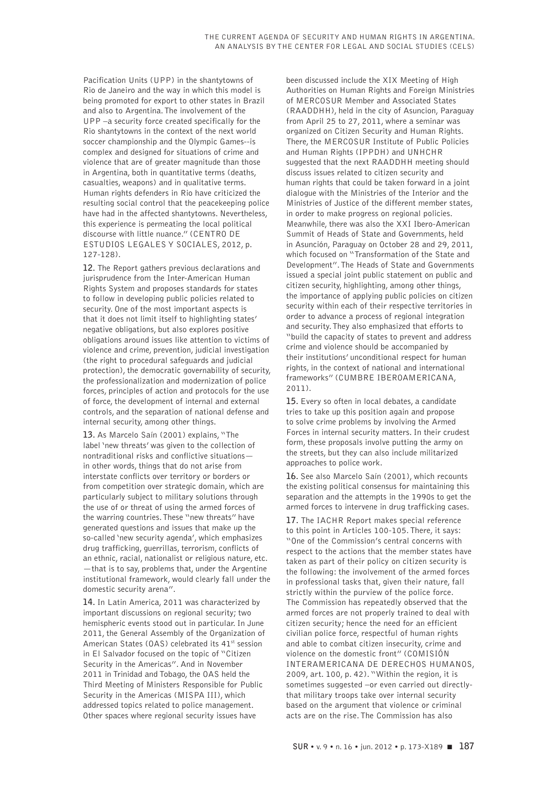Pacification Units (UPP) in the shantytowns of Rio de Janeiro and the way in which this model is being promoted for export to other states in Brazil and also to Argentina. The involvement of the UPP –a security force created specifically for the Rio shantytowns in the context of the next world soccer championship and the Olympic Games--is complex and designed for situations of crime and violence that are of greater magnitude than those in Argentina, both in quantitative terms (deaths, casualties, weapons) and in qualitative terms. Human rights defenders in Rio have criticized the resulting social control that the peacekeeping police have had in the affected shantytowns. Nevertheless, this experience is permeating the local political discourse with little nuance." (CENTRO DE ESTUDIOS LEGALES Y SOCIALES, 2012, p. 127-128).

**12.** The Report gathers previous declarations and jurisprudence from the Inter-American Human Rights System and proposes standards for states to follow in developing public policies related to security. One of the most important aspects is that it does not limit itself to highlighting states' negative obligations, but also explores positive obligations around issues like attention to victims of violence and crime, prevention, judicial investigation (the right to procedural safeguards and judicial protection), the democratic governability of security, the professionalization and modernization of police forces, principles of action and protocols for the use of force, the development of internal and external controls, and the separation of national defense and internal security, among other things.

**13.** As Marcelo Saín (2001) explains, "The label 'new threats' was given to the collection of nontraditional risks and conflictive situations in other words, things that do not arise from interstate conflicts over territory or borders or from competition over strategic domain, which are particularly subject to military solutions through the use of or threat of using the armed forces of the warring countries. These "new threats" have generated questions and issues that make up the so-called 'new security agenda', which emphasizes drug trafficking, guerrillas, terrorism, conflicts of an ethnic, racial, nationalist or religious nature, etc. —that is to say, problems that, under the Argentine institutional framework, would clearly fall under the domestic security arena".

**14.** In Latin America, 2011 was characterized by important discussions on regional security; two hemispheric events stood out in particular. In June 2011, the General Assembly of the Organization of American States (OAS) celebrated its 41<sup>st</sup> session in El Salvador focused on the topic of "Citizen Security in the Americas". And in November 2011 in Trinidad and Tobago, the OAS held the Third Meeting of Ministers Responsible for Public Security in the Americas (MISPA III), which addressed topics related to police management. Other spaces where regional security issues have

been discussed include the XIX Meeting of High Authorities on Human Rights and Foreign Ministries of MERCOSUR Member and Associated States (RAADDHH), held in the city of Asuncion, Paraguay from April 25 to 27, 2011, where a seminar was organized on Citizen Security and Human Rights. There, the MERCOSUR Institute of Public Policies and Human Rights (IPPDH) and UNHCHR suggested that the next RAADDHH meeting should discuss issues related to citizen security and human rights that could be taken forward in a joint dialogue with the Ministries of the Interior and the Ministries of Justice of the different member states, in order to make progress on regional policies. Meanwhile, there was also the XXI Ibero-American Summit of Heads of State and Governments, held in Asunción, Paraguay on October 28 and 29, 2011, which focused on "Transformation of the State and Development". The Heads of State and Governments issued a special joint public statement on public and citizen security, highlighting, among other things, the importance of applying public policies on citizen security within each of their respective territories in order to advance a process of regional integration and security. They also emphasized that efforts to "build the capacity of states to prevent and address crime and violence should be accompanied by their institutions' unconditional respect for human rights, in the context of national and international frameworks" (CUMBRE IBEROAMERICANA, 2011).

**15.** Every so often in local debates, a candidate tries to take up this position again and propose to solve crime problems by involving the Armed Forces in internal security matters. In their crudest form, these proposals involve putting the army on the streets, but they can also include militarized approaches to police work.

**16.** See also Marcelo Saín (2001), which recounts the existing political consensus for maintaining this separation and the attempts in the 1990s to get the armed forces to intervene in drug trafficking cases.

**17.** The IACHR Report makes special reference to this point in Articles 100-105. There, it says: "One of the Commission's central concerns with respect to the actions that the member states have taken as part of their policy on citizen security is the following: the involvement of the armed forces in professional tasks that, given their nature, fall strictly within the purview of the police force. The Commission has repeatedly observed that the armed forces are not properly trained to deal with citizen security; hence the need for an efficient civilian police force, respectful of human rights and able to combat citizen insecurity, crime and violence on the domestic front" (COMISIÓN INTERAMERICANA DE DERECHOS HUMANOS, 2009, art. 100, p. 42). "Within the region, it is sometimes suggested –or even carried out directlythat military troops take over internal security based on the argument that violence or criminal acts are on the rise. The Commission has also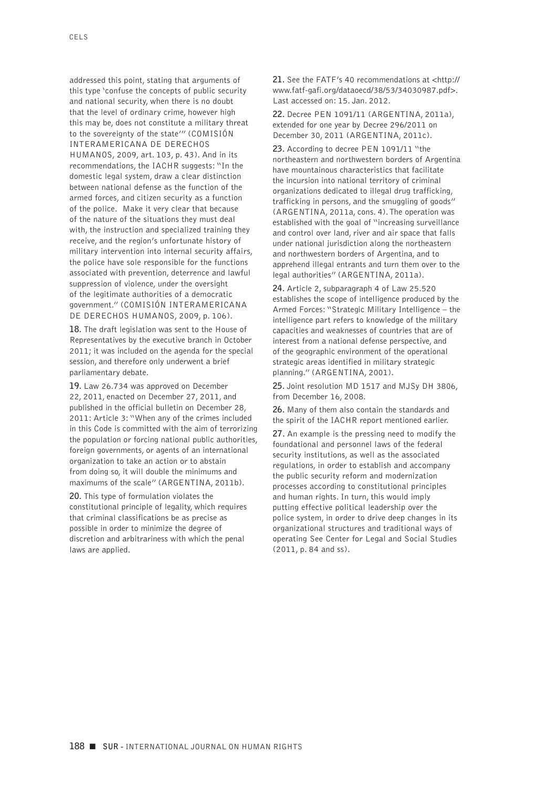addressed this point, stating that arguments of this type 'confuse the concepts of public security and national security, when there is no doubt that the level of ordinary crime, however high this may be, does not constitute a military threat to the sovereignty of the state'" (COMISIÓN INTERAMERICANA DE DERECHOS HUMANOS, 2009, art. 103, p. 43). And in its recommendations, the IACHR suggests: "In the domestic legal system, draw a clear distinction between national defense as the function of the armed forces, and citizen security as a function of the police. Make it very clear that because of the nature of the situations they must deal with, the instruction and specialized training they receive, and the region's unfortunate history of military intervention into internal security affairs, the police have sole responsible for the functions associated with prevention, deterrence and lawful suppression of violence, under the oversight of the legitimate authorities of a democratic government." (COMISIÓN INTERAMERICANA DE DERECHOS HUMANOS, 2009, p. 106).

**18.** The draft legislation was sent to the House of Representatives by the executive branch in October 2011; it was included on the agenda for the special session, and therefore only underwent a brief parliamentary debate.

**19.** Law 26.734 was approved on December 22, 2011, enacted on December 27, 2011, and published in the official bulletin on December 28, 2011: Article 3: "When any of the crimes included in this Code is committed with the aim of terrorizing the population or forcing national public authorities, foreign governments, or agents of an international organization to take an action or to abstain from doing so, it will double the minimums and maximums of the scale" (ARGENTINA, 2011b).

**20.** This type of formulation violates the constitutional principle of legality, which requires that criminal classifications be as precise as possible in order to minimize the degree of discretion and arbitrariness with which the penal laws are applied.

**21.** See the FATF's 40 recommendations at <http:// www.fatf-gafi.org/dataoecd/38/53/34030987.pdf>. Last accessed on: 15. Jan. 2012.

**22.** Decree PEN 1091/11 (ARGENTINA, 2011a), extended for one year by Decree 296/2011 on December 30, 2011 (ARGENTINA, 2011c).

**23.** According to decree PEN 1091/11 "the northeastern and northwestern borders of Argentina have mountainous characteristics that facilitate the incursion into national territory of criminal organizations dedicated to illegal drug trafficking, trafficking in persons, and the smuggling of goods" (ARGENTINA, 2011a, cons. 4). The operation was established with the goal of "increasing surveillance and control over land, river and air space that falls under national jurisdiction along the northeastern and northwestern borders of Argentina, and to apprehend illegal entrants and turn them over to the legal authorities" (ARGENTINA, 2011a).

**24.** Article 2, subparagraph 4 of Law 25.520 establishes the scope of intelligence produced by the Armed Forces: "Strategic Military Intelligence – the intelligence part refers to knowledge of the military capacities and weaknesses of countries that are of interest from a national defense perspective, and of the geographic environment of the operational strategic areas identified in military strategic planning." (ARGENTINA, 2001).

**25.** Joint resolution MD 1517 and MJSy DH 3806, from December 16, 2008.

**26.** Many of them also contain the standards and the spirit of the IACHR report mentioned earlier.

**27.** An example is the pressing need to modify the foundational and personnel laws of the federal security institutions, as well as the associated regulations, in order to establish and accompany the public security reform and modernization processes according to constitutional principles and human rights. In turn, this would imply putting effective political leadership over the police system, in order to drive deep changes in its organizational structures and traditional ways of operating See Center for Legal and Social Studies (2011, p. 84 and ss).